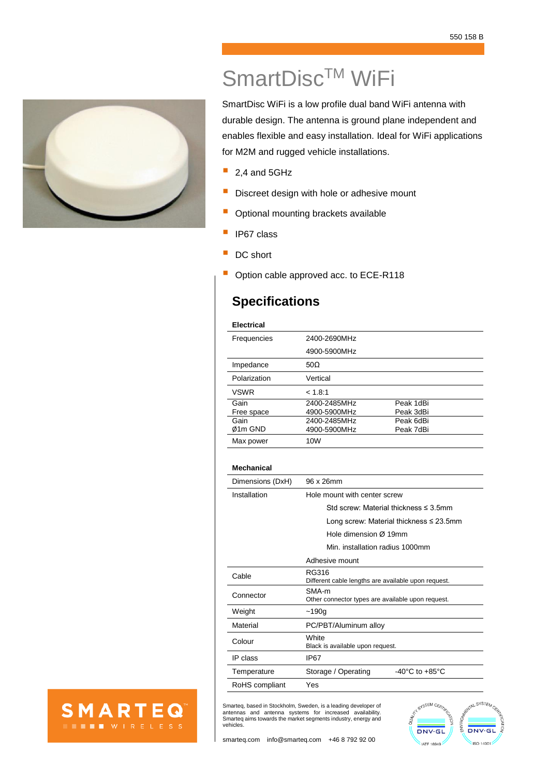

# SmartDisc™ WiFi

SmartDisc WiFi is a low profile dual band WiFi antenna with durable design. The antenna is ground plane independent and enables flexible and easy installation. Ideal for WiFi applications for M2M and rugged vehicle installations.

- $\blacksquare$  2,4 and 5GHz
- Discreet design with hole or adhesive mount
- **Optional mounting brackets available**
- **I** IP67 class
- DC short
- Option cable approved acc. to ECE-R118

## **Specifications**

#### **Electrical**

| Frequencies  | 2400-2690MHz    |           |
|--------------|-----------------|-----------|
|              | 4900-5900MHz    |           |
| Impedance    | 50 $\Omega$     |           |
| Polarization | Vertical        |           |
| <b>VSWR</b>  | < 1.8:1         |           |
| Gain         | 2400-2485MHz    | Peak 1dBi |
| Free space   | 4900-5900MHz    | Peak 3dBi |
| Gain         | 2400-2485MHz    | Peak 6dBi |
| Ø1m GND      | 4900-5900MHz    | Peak 7dBi |
| Max power    | 10 <sub>W</sub> |           |

### **Mechanical**

| Dimensions (DxH) | 96 x 26mm                                                    |  |
|------------------|--------------------------------------------------------------|--|
| Installation     | Hole mount with center screw                                 |  |
|                  | Std screw: Material thickness < 3.5mm                        |  |
|                  | Long screw: Material thickness $\leq$ 23.5mm                 |  |
|                  | Hole dimension Ø 19mm                                        |  |
|                  | Min. installation radius 1000mm                              |  |
|                  | Adhesive mount                                               |  |
| Cable            | RG316<br>Different cable lengths are available upon request. |  |
| Connector        | SMA-m<br>Other connector types are available upon request.   |  |
| Weight           | ~190q                                                        |  |
| Material         | PC/PBT/Aluminum alloy                                        |  |
| Colour           | White<br>Black is available upon request.                    |  |
| IP class         | IP67                                                         |  |
| Temperature      | $-40^{\circ}$ C to $+85^{\circ}$ C<br>Storage / Operating    |  |
| RoHS compliant   | Yes                                                          |  |



Smarteq, based in Stockholm, Sweden, is a leading developer of antennas and antenna systems for increased availability. Smarteq aims towards the market segments industry, energy and vehicles.